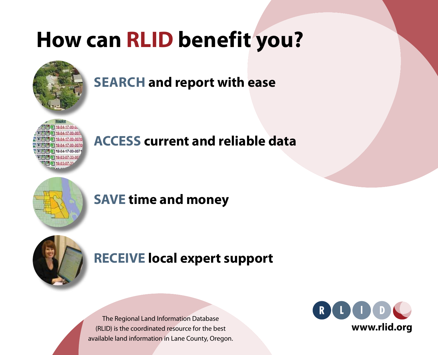# **How can RLID benefit you?**



# **SEARCH and report with ease**



# **ACCESS current and reliable data**



### **SAVE time and money**



### **RECEIVE local expert support**

The Regional Land Information Database (RLID) is the coordinated resource for the best available land information in Lane County, Oregon.

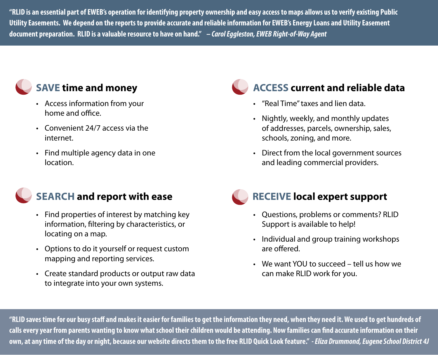**"RLID is an essential part of EWEB's operation for identifying property ownership and easy access to maps allows us to verify existing Public Utility Easements. We depend on the reports to provide accurate and reliable information for EWEB's Energy Loans and Utility Easement document preparation. RLID is a valuable resource to have on hand."** *– Carol Eggleston, EWEB Right-of-Way Agent*

### **SAVE time and money**

- Access information from your home and office.
- Convenient 24/7 access via the internet.
- $\cdot$  Find multiple agency data in one location.

### **SEARCH and report with ease**

- Find properties of interest by matching key information, filtering by characteristics, or locating on a map.
- Options to do it yourself or request custom mapping and reporting services.
- Create standard products or output raw data to integrate into your own systems.

### **ACCESS current and reliable data**

- • "Real Time"taxes and lien data.
- Nightly, weekly, and monthly updates of addresses, parcels, ownership, sales, schools, zoning, and more.
- Direct from the local government sources and leading commercial providers.

### **RECEIVE local expert support**

- Questions, problems or comments? RLID Support is available to help!
- Individual and group training workshops are offered.
- We want YOU to succeed tell us how we can make RLID work for you.

**"RLID saves time for our busy staff and makes it easier for families to get the information they need, when they need it. We used to get hundreds of calls every year from parents wanting to know what school their children would be attending. Now families can find accurate information on their own, at any time of the day or night, because our website directs them to the free RLID Quick Look feature."** *- Eliza Drummond, Eugene School District 4J*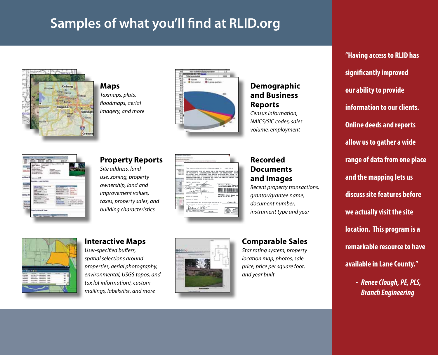## **Samples of what you'll find at RLID.org**



**Maps** *Taxmaps, plats, floodmaps, aerial imagery, and more*



#### **Demographic and Business Reports**

*Census information, NAICS/SIC codes, sales volume, employment*



### **Property Reports**

*Site address, land use, zoning, property ownership, land and improvement values, taxes, property sales, and building characteristics*

| ۰<br>×<br>-<br>۰<br>-<br>--<br>- | The true consideration for this converses is \$196,906.06<br>PRACTICAS AS DEPOSED IN CAS 20, 818.<br>DATES: BG/81/2004<br>antica contact 1<br>۰.<br>LAMENT E. SATINE<br>$k = 10$<br><b>JES 1. WHAS</b><br><b>STATE OF DESIGNS</b><br>٠<br>1.14.<br><b>ESUREV OF SAME</b><br>LAPRASCE E. BATEAU AGE JUST 1. INCREA.<br>$k+1$<br><b>Bitary Buildes of Great</b><br>4105<br>By consission resires: | THIS INSTRUMENT WILL NOT ALLOW HIM OF THE PAGESMEY DESCRIPSION IN T<br>TH VEOLATION OF APPLICABLE LAND ESE LING AND EDUCATIONS. DEPOS<br><b>ACCEPTING TREE DISTRIBUTE, THE PERSON ACCEPTAINS FER TITLE TO</b><br>ENVILLO CHECK VITH THE AFPREPATATE CITY OF COMPT PLANETING SEPARTY<br>APPROVED USED AND TO DETERMINE MHT CORTED ON LAMBUTED AGAINST ENGINE<br>Division of Chief Deputy C<br><b>M-DEED Cotal Stage</b><br>85.00 611.00 \$12.50<br>This instrument was acknowledged before me on Juane, 4-<br><b>HO AND</b> |
|----------------------------------|-------------------------------------------------------------------------------------------------------------------------------------------------------------------------------------------------------------------------------------------------------------------------------------------------------------------------------------------------------------------------------------------------|----------------------------------------------------------------------------------------------------------------------------------------------------------------------------------------------------------------------------------------------------------------------------------------------------------------------------------------------------------------------------------------------------------------------------------------------------------------------------------------------------------------------------|

#### **Recorded Documents and Images**

*Recent property transactions, grantor/grantee name, document number, instrument type and year*



#### **Interactive Maps**

*User-specified buffers, spatial selections around properties, aerial photography, environmental, USGS topos, and tax lot information), custom mailings, labels/list, and more*



#### **Comparable Sales**

*Star rating system, property location map, photos, sale price, price per square foot, and year built*

**"Having access to RLID has significantly improved our ability to provide information to our clients. Online deeds and reports allow us to gather a wide range of data from one place and the mapping lets us discuss site features before we actually visit the site location. This program is a remarkable resource to have available in Lane County."**

> *- Renee Clough, PE, PLS, Branch Engineering*